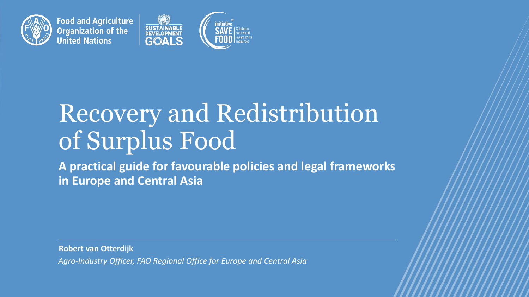

**Food and Agriculture Organization of the United Nations** 



# Recovery and Redistribution of Surplus Food

**A practical guide for favourable policies and legal frameworks in Europe and Central Asia** 

**Robert van Otterdijk**

*Agro-Industry Officer, FAO Regional Office for Europe and Central Asia*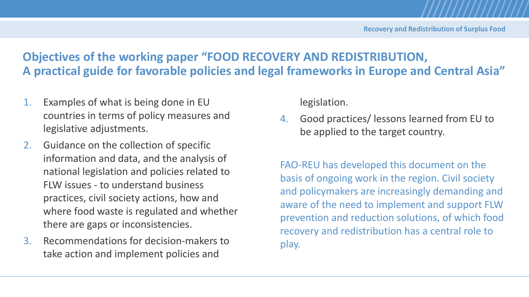# **Objectives of the working paper "FOOD RECOVERY AND REDISTRIBUTION, A practical guide for favorable policies and legal frameworks in Europe and Central Asia"**

- 1. Examples of what is being done in EU countries in terms of policy measures and legislative adjustments.
- 2. Guidance on the collection of specific information and data, and the analysis of national legislation and policies related to FLW issues - to understand business practices, civil society actions, how and where food waste is regulated and whether there are gaps or inconsistencies.
- 3. Recommendations for decision-makers to take action and implement policies and

legislation.

4. Good practices/ lessons learned from EU to be applied to the target country.

FAO-REU has developed this document on the basis of ongoing work in the region. Civil society and policymakers are increasingly demanding and aware of the need to implement and support FLW prevention and reduction solutions, of which food recovery and redistribution has a central role to play.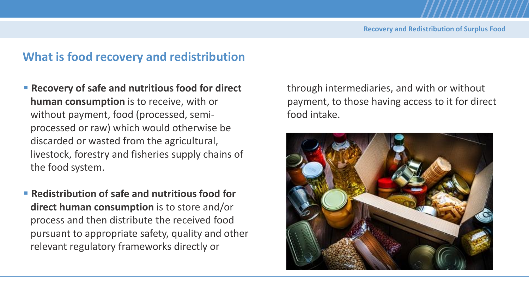# **What is food recovery and redistribution**

- **Recovery of safe and nutritious food for direct human consumption** is to receive, with or without payment, food (processed, semiprocessed or raw) which would otherwise be discarded or wasted from the agricultural, livestock, forestry and fisheries supply chains of the food system.
- **Redistribution of safe and nutritious food for direct human consumption** is to store and/or process and then distribute the received food pursuant to appropriate safety, quality and other relevant regulatory frameworks directly or

through intermediaries, and with or without payment, to those having access to it for direct food intake.

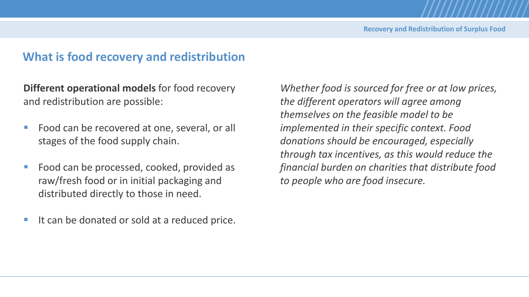# **What is food recovery and redistribution**

**Different operational models** for food recovery and redistribution are possible:

- Food can be recovered at one, several, or all stages of the food supply chain.
- Food can be processed, cooked, provided as raw/fresh food or in initial packaging and distributed directly to those in need.
- It can be donated or sold at a reduced price.

*Whether food is sourced for free or at low prices, the different operators will agree among themselves on the feasible model to be implemented in their specific context. Food donations should be encouraged, especially through tax incentives, as this would reduce the financial burden on charities that distribute food to people who are food insecure.*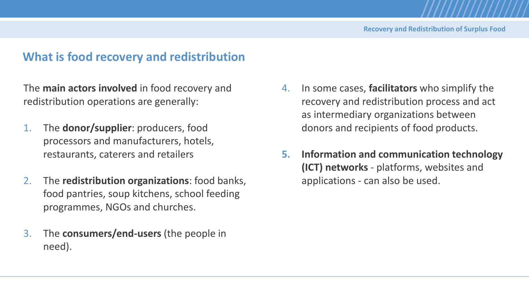# **What is food recovery and redistribution**

The **main actors involved** in food recovery and redistribution operations are generally:

- 1. The **donor/supplier**: producers, food processors and manufacturers, hotels, restaurants, caterers and retailers
- 2. The **redistribution organizations**: food banks, food pantries, soup kitchens, school feeding programmes, NGOs and churches.
- 3. The **consumers/end-users** (the people in need).
- 4. In some cases, **facilitators** who simplify the recovery and redistribution process and act as intermediary organizations between donors and recipients of food products.
- **5. Information and communication technology (ICT) networks** - platforms, websites and applications - can also be used.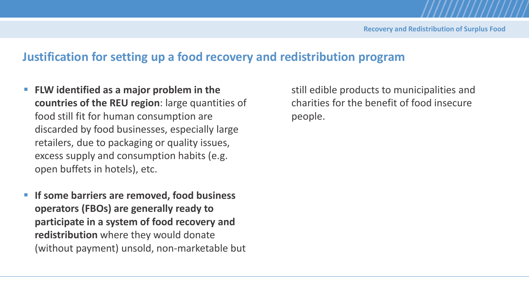# **Justification for setting up a food recovery and redistribution program**

- FLW identified as a major problem in the **countries of the REU region**: large quantities of food still fit for human consumption are discarded by food businesses, especially large retailers, due to packaging or quality issues, excess supply and consumption habits (e.g. open buffets in hotels), etc.
- If some barriers are removed, food business **operators (FBOs) are generally ready to participate in a system of food recovery and redistribution** where they would donate (without payment) unsold, non-marketable but

still edible products to municipalities and charities for the benefit of food insecure people.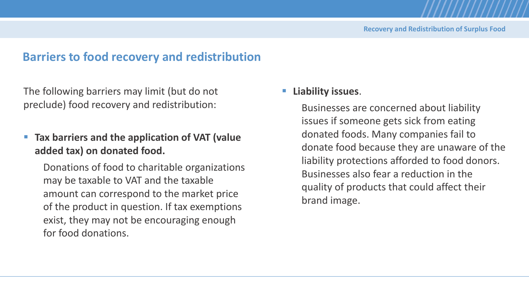# **Barriers to food recovery and redistribution**

The following barriers may limit (but do not preclude) food recovery and redistribution:

# **EXECT:** Tax barriers and the application of VAT (value **added tax) on donated food.**

Donations of food to charitable organizations may be taxable to VAT and the taxable amount can correspond to the market price of the product in question. If tax exemptions exist, they may not be encouraging enough for food donations.

#### ▪ **Liability issues**.

Businesses are concerned about liability issues if someone gets sick from eating donated foods. Many companies fail to donate food because they are unaware of the liability protections afforded to food donors. Businesses also fear a reduction in the quality of products that could affect their brand image.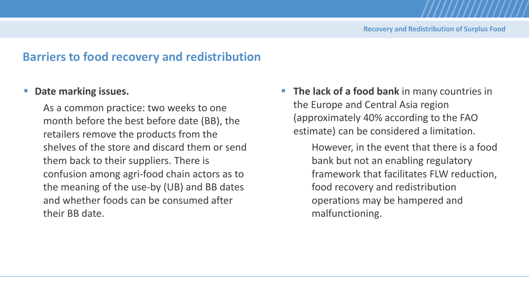# **Barriers to food recovery and redistribution**

#### ■ **Date marking issues.**

As a common practice: two weeks to one month before the best before date (BB), the retailers remove the products from the shelves of the store and discard them or send them back to their suppliers. There is confusion among agri-food chain actors as to the meaning of the use-by (UB) and BB dates and whether foods can be consumed after their BB date.

**The lack of a food bank** in many countries in the Europe and Central Asia region (approximately 40% according to the FAO estimate) can be considered a limitation.

> However, in the event that there is a food bank but not an enabling regulatory framework that facilitates FLW reduction, food recovery and redistribution operations may be hampered and malfunctioning.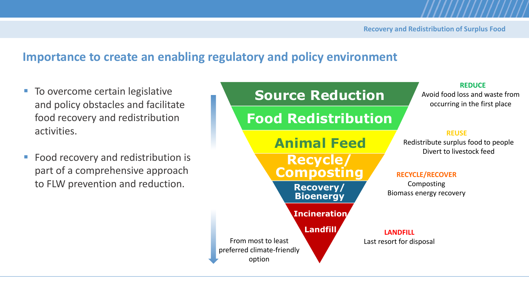# **Importance to create an enabling regulatory and policy environment**

- To overcome certain legislative and policy obstacles and facilitate food recovery and redistribution activities.
- Food recovery and redistribution is part of a comprehensive approach to FLW prevention and reduction.

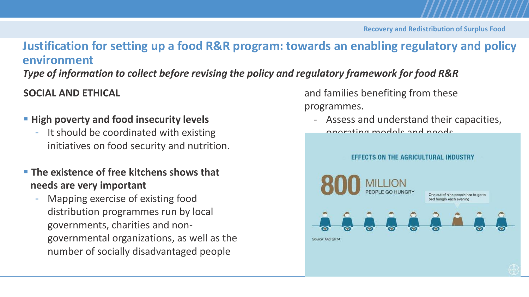# **Justification for setting up a food R&R program: towards an enabling regulatory and policy environment**

*Type of information to collect before revising the policy and regulatory framework for food R&R*

**SOCIAL AND ETHICAL**

- **High poverty and food insecurity levels**
	- It should be coordinated with existing initiatives on food security and nutrition.
- **The existence of free kitchens shows that needs are very important**
	- Mapping exercise of existing food distribution programmes run by local governments, charities and nongovernmental organizations, as well as the number of socially disadvantaged people

and families benefiting from these programmes.

- Assess and understand their capacities, operating models and needs.

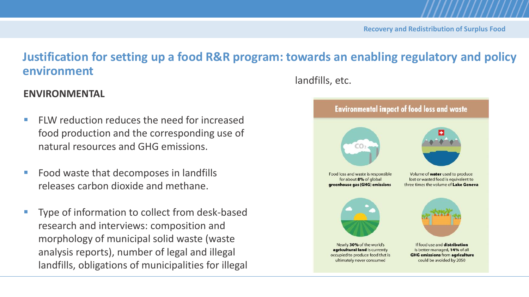# **Justification for setting up a food R&R program: towards an enabling regulatory and policy environment**

#### **ENVIRONMENTAL**

- $\blacksquare$  FLW reduction reduces the need for increased food production and the corresponding use of natural resources and GHG emissions.
- Food waste that decomposes in landfills releases carbon dioxide and methane.
- Type of information to collect from desk-based research and interviews: composition and morphology of municipal solid waste (waste analysis reports), number of legal and illegal landfills, obligations of municipalities for illegal

landfills, etc.

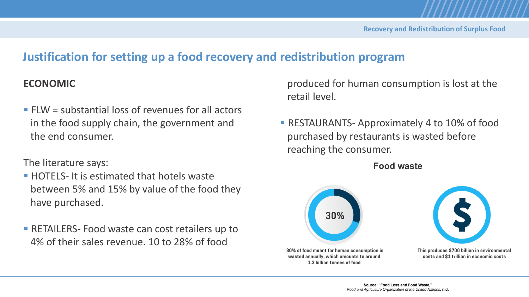# **Justification for setting up a food recovery and redistribution program**

#### **ECONOMIC**

 $\blacksquare$  FLW = substantial loss of revenues for all actors in the food supply chain, the government and the end consumer.

The literature says:

- **EXTELS- It is estimated that hotels waster** between 5% and 15% by value of the food they have purchased.
- **EXECTAILERS- Food waste can cost retailers up to** 4% of their sales revenue. 10 to 28% of food

produced for human consumption is lost at the retail level.

**EXECTAURANTS- Approximately 4 to 10% of food** purchased by restaurants is wasted before reaching the consumer.

**Food waste** 





This produces \$700 billion in environmental costs and \$1 trillion in economic costs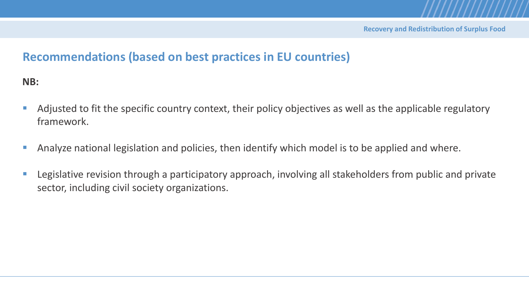**NB:**

- Adjusted to fit the specific country context, their policy objectives as well as the applicable regulatory framework.
- Analyze national legislation and policies, then identify which model is to be applied and where.
- Legislative revision through a participatory approach, involving all stakeholders from public and private sector, including civil society organizations.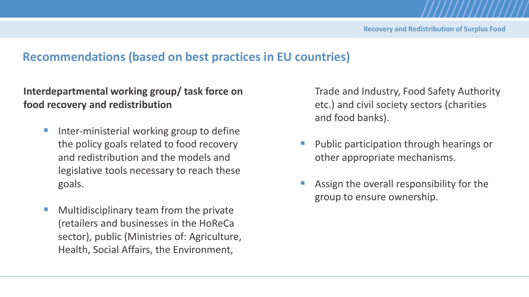## **Interdepartmental working group/ task force on food recovery and redistribution**

- Inter-ministerial working group to define the policy goals related to food recovery and redistribution and the models and legislative tools necessary to reach these goals.
- Multidisciplinary team from the private (retailers and businesses in the HoReCa sector), public (Ministries of: Agriculture, Health, Social Affairs, the Environment,

Trade and Industry, Food Safety Authority etc.) and civil society sectors (charities and food banks).

- Public participation through hearings or other appropriate mechanisms.
- Assign the overall responsibility for the group to ensure ownership.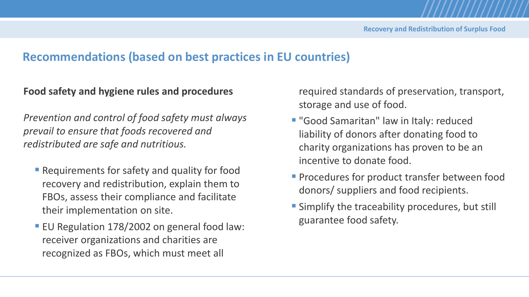#### **Food safety and hygiene rules and procedures**

*Prevention and control of food safety must always prevail to ensure that foods recovered and redistributed are safe and nutritious.*

- **E** Requirements for safety and quality for food recovery and redistribution, explain them to FBOs, assess their compliance and facilitate their implementation on site.
- EU Regulation 178/2002 on general food law: receiver organizations and charities are recognized as FBOs, which must meet all

required standards of preservation, transport, storage and use of food.

- "Good Samaritan" law in Italy: reduced liability of donors after donating food to charity organizations has proven to be an incentive to donate food.
- **Procedures for product transfer between food** donors/ suppliers and food recipients.
- **E** Simplify the traceability procedures, but still guarantee food safety.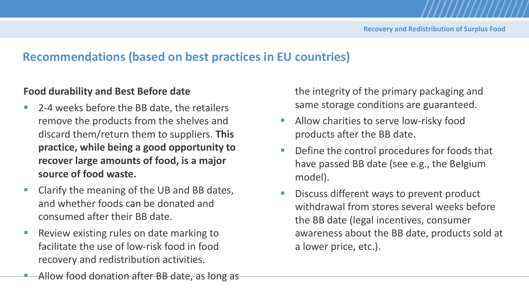#### **Food durability and Best Before date**

- 2-4 weeks before the BB date, the retailers remove the products from the shelves and discard them/return them to suppliers. **This practice, while being a good opportunity to recover large amounts of food, is a major source of food waste.**
- Clarify the meaning of the UB and BB dates, and whether foods can be donated and consumed after their BB date.
- Review existing rules on date marking to facilitate the use of low-risk food in food recovery and redistribution activities.
- the integrity of the primary packaging and same storage conditions are guaranteed.
- Allow charities to serve low-risky food products after the BB date.
- Define the control procedures for foods that have passed BB date (see e.g., the Belgium model).
- Discuss different ways to prevent product withdrawal from stores several weeks before the BB date (legal incentives, consumer awareness about the BB date, products sold at a lower price, etc.).

Allow food donation after BB date, as long as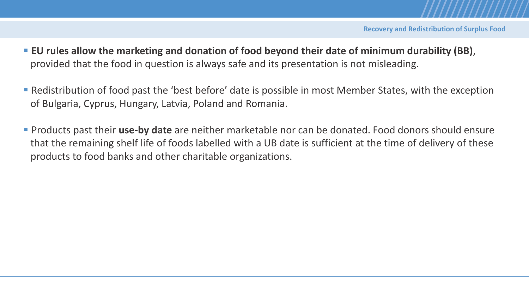- EU rules allow the marketing and donation of food beyond their date of minimum durability (BB), provided that the food in question is always safe and its presentation is not misleading.
- Redistribution of food past the 'best before' date is possible in most Member States, with the exception of Bulgaria, Cyprus, Hungary, Latvia, Poland and Romania.
- Products past their **use-by date** are neither marketable nor can be donated. Food donors should ensure that the remaining shelf life of foods labelled with a UB date is sufficient at the time of delivery of these products to food banks and other charitable organizations.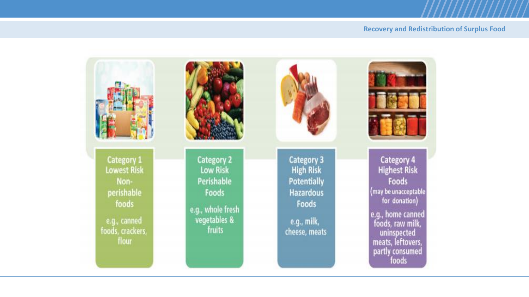#### **Recovery and Redistribution of Surplus Food**

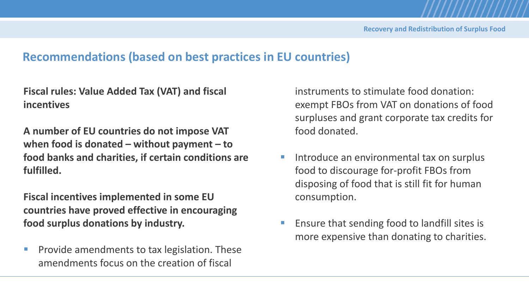**Fiscal rules: Value Added Tax (VAT) and fiscal incentives** 

**A number of EU countries do not impose VAT when food is donated – without payment – to food banks and charities, if certain conditions are fulfilled.** 

**Fiscal incentives implemented in some EU countries have proved effective in encouraging food surplus donations by industry.** 

■ Provide amendments to tax legislation. These amendments focus on the creation of fiscal

instruments to stimulate food donation: exempt FBOs from VAT on donations of food surpluses and grant corporate tax credits for food donated.

- Introduce an environmental tax on surplus food to discourage for-profit FBOs from disposing of food that is still fit for human consumption.
- Ensure that sending food to landfill sites is more expensive than donating to charities.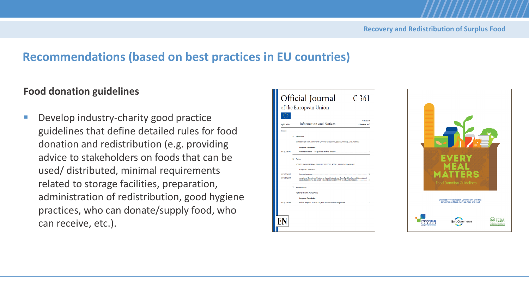### **Food donation guidelines**

■ Develop industry-charity good practice guidelines that define detailed rules for food donation and redistribution (e.g. providing advice to stakeholders on foods that can be used/ distributed, minimal requirements related to storage facilities, preparation, administration of redistribution, good hygiene practices, who can donate/supply food, who can receive, etc.).



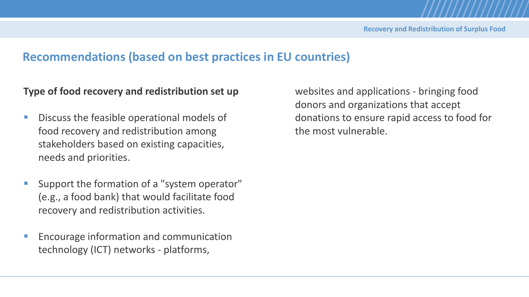#### **Type of food recovery and redistribution set up**

- Discuss the feasible operational models of food recovery and redistribution among stakeholders based on existing capacities, needs and priorities.
- Support the formation of a "system operator" (e.g., a food bank) that would facilitate food recovery and redistribution activities.
- Encourage information and communication technology (ICT) networks - platforms,

websites and applications - bringing food donors and organizations that accept donations to ensure rapid access to food for the most vulnerable.